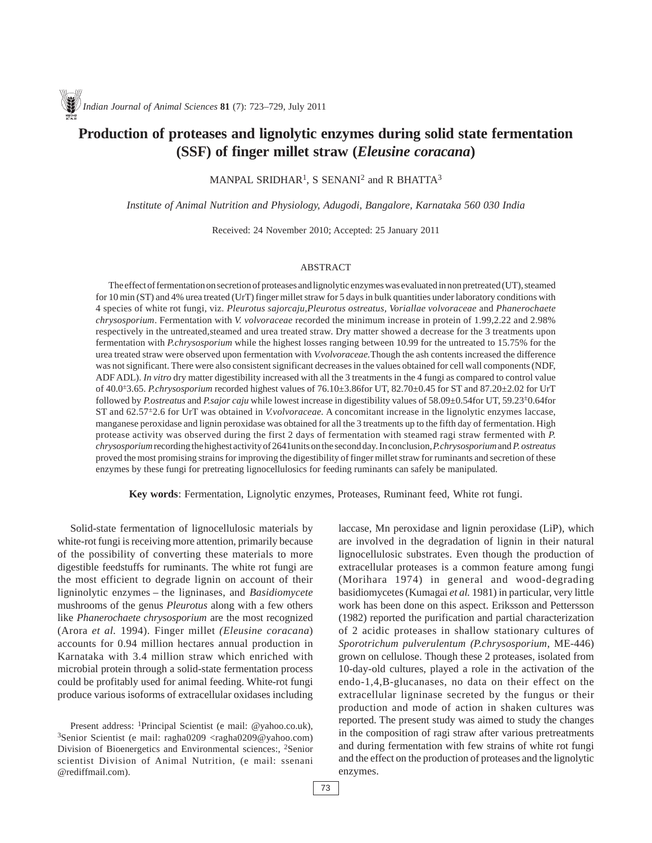# **Production of proteases and lignolytic enzymes during solid state fermentation (SSF) of finger millet straw (***Eleusine coracana***)**

MANPAL SRIDHAR<sup>1</sup>, S SENANI<sup>2</sup> and R BHATTA<sup>3</sup>

*Institute of Animal Nutrition and Physiology, Adugodi, Bangalore, Karnataka 560 030 India*

Received: 24 November 2010; Accepted: 25 January 2011

#### ABSTRACT

The effect of fermentation on secretion of proteases and lignolytic enzymes was evaluated in non pretreated (UT), steamed for 10 min (ST) and 4% urea treated (UrT) finger millet straw for 5 days in bulk quantities under laboratory conditions with 4 species of white rot fungi, viz. *Pleurotus sajorcaju,Pleurotus ostreatus, Voriallae volvoraceae* and *Phanerochaete chrysosporium*. Fermentation with *V. volvoraceae* recorded the minimum increase in protein of 1.99,2.22 and 2.98% respectively in the untreated,steamed and urea treated straw. Dry matter showed a decrease for the 3 treatments upon fermentation with *P.chrysosporium* while the highest losses ranging between 10.99 for the untreated to 15.75% for the urea treated straw were observed upon fermentation with *V.volvoraceae.*Though the ash contents increased the difference was not significant. There were also consistent significant decreases in the values obtained for cell wall components (NDF, ADF ADL). *In vitro* dry matter digestibility increased with all the 3 treatments in the 4 fungi as compared to control value of 40.0±3.65. *P.chrysosporium* recorded highest values of 76.10±3.86for UT, 82.70±0.45 for ST and 87.20±2.02 for UrT followed by *P.ostreatus* and *P.sajor caju* while lowest increase in digestibility values of 58.09±0.54for UT, 59.23±0.64for ST and 62.57±2.6 for UrT was obtained in *V.volvoraceae.* A concomitant increase in the lignolytic enzymes laccase, manganese peroxidase and lignin peroxidase was obtained for all the 3 treatments up to the fifth day of fermentation. High protease activity was observed during the first 2 days of fermentation with steamed ragi straw fermented with *P. chrysosporium* recording the highest activity of 2641units on the second day. In conclusion, *P.chrysosporium* and *P. ostreatus* proved the most promising strains for improving the digestibility of finger millet straw for ruminants and secretion of these enzymes by these fungi for pretreating lignocellulosics for feeding ruminants can safely be manipulated.

**Key words**: Fermentation, Lignolytic enzymes, Proteases, Ruminant feed, White rot fungi.

Solid-state fermentation of lignocellulosic materials by white-rot fungi is receiving more attention, primarily because of the possibility of converting these materials to more digestible feedstuffs for ruminants. The white rot fungi are the most efficient to degrade lignin on account of their ligninolytic enzymes – the ligninases, and *Basidiomycete* mushrooms of the genus *Pleurotus* along with a few others like *Phanerochaete chrysosporium* are the most recognized (Arora *et al.* 1994). Finger millet *(Eleusine coracana*) accounts for 0.94 million hectares annual production in Karnataka with 3.4 million straw which enriched with microbial protein through a solid-state fermentation process could be profitably used for animal feeding. White-rot fungi produce various isoforms of extracellular oxidases including laccase, Mn peroxidase and lignin peroxidase (LiP), which are involved in the degradation of lignin in their natural lignocellulosic substrates. Even though the production of extracellular proteases is a common feature among fungi (Morihara 1974) in general and wood-degrading basidiomycetes (Kumagai *et al.* 1981) in particular, very little work has been done on this aspect. Eriksson and Pettersson (1982) reported the purification and partial characterization of 2 acidic proteases in shallow stationary cultures of *Sporotrichum pulverulentum (P.chrysosporium*, ME-446) grown on cellulose. Though these 2 proteases, isolated from 10-day-old cultures, played a role in the activation of the endo-1,4,B-glucanases, no data on their effect on the extracellular ligninase secreted by the fungus or their production and mode of action in shaken cultures was reported. The present study was aimed to study the changes in the composition of ragi straw after various pretreatments and during fermentation with few strains of white rot fungi and the effect on the production of proteases and the lignolytic enzymes.

Present address: 1Principal Scientist (e mail: @yahoo.co.uk), 3Senior Scientist (e mail: ragha0209 <ragha0209@yahoo.com) Division of Bioenergetics and Environmental sciences:, <sup>2</sup>Senior scientist Division of Animal Nutrition, (e mail: ssenani @rediffmail.com).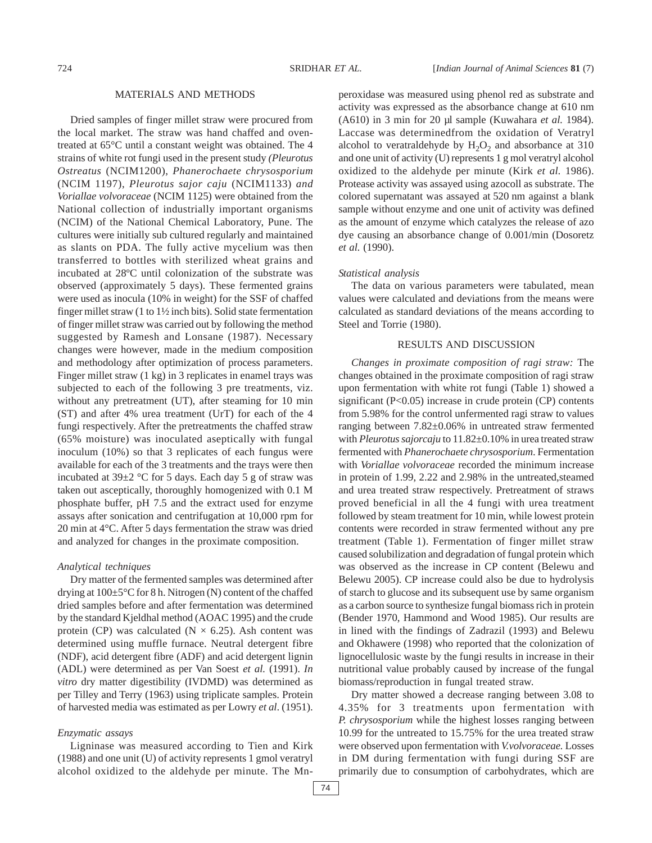#### MATERIALS AND METHODS

Dried samples of finger millet straw were procured from the local market. The straw was hand chaffed and oventreated at 65°C until a constant weight was obtained. The 4 strains of white rot fungi used in the present study *(Pleurotus Ostreatus* (NCIM1200), *Phanerochaete chrysosporium* (NCIM 1197), *Pleurotus sajor caju* (NCIM1133) *and Voriallae volvoraceae* (NCIM 1125) were obtained from the National collection of industrially important organisms (NCIM) of the National Chemical Laboratory, Pune. The cultures were initially sub cultured regularly and maintained as slants on PDA. The fully active mycelium was then transferred to bottles with sterilized wheat grains and incubated at 28ºC until colonization of the substrate was observed (approximately 5 days). These fermented grains were used as inocula (10% in weight) for the SSF of chaffed finger millet straw (1 to 1½ inch bits). Solid state fermentation of finger millet straw was carried out by following the method suggested by Ramesh and Lonsane (1987). Necessary changes were however, made in the medium composition and methodology after optimization of process parameters. Finger millet straw (1 kg) in 3 replicates in enamel trays was subjected to each of the following 3 pre treatments, viz. without any pretreatment (UT), after steaming for 10 min (ST) and after 4% urea treatment (UrT) for each of the 4 fungi respectively. After the pretreatments the chaffed straw (65% moisture) was inoculated aseptically with fungal inoculum (10%) so that 3 replicates of each fungus were available for each of the 3 treatments and the trays were then incubated at 39±2 °C for 5 days. Each day 5 g of straw was taken out asceptically, thoroughly homogenized with 0.1 M phosphate buffer, pH 7.5 and the extract used for enzyme assays after sonication and centrifugation at 10,000 rpm for 20 min at 4°C. After 5 days fermentation the straw was dried and analyzed for changes in the proximate composition.

### *Analytical techniques*

Dry matter of the fermented samples was determined after drying at 100±5°C for 8 h. Nitrogen (N) content of the chaffed dried samples before and after fermentation was determined by the standard Kjeldhal method (AOAC 1995) and the crude protein (CP) was calculated ( $N \times 6.25$ ). Ash content was determined using muffle furnace. Neutral detergent fibre (NDF), acid detergent fibre (ADF) and acid detergent lignin (ADL) were determined as per Van Soest *et al.* (1991). *In vitro* dry matter digestibility (IVDMD) was determined as per Tilley and Terry (1963) using triplicate samples. Protein of harvested media was estimated as per Lowry *et al*. (1951).

#### *Enzymatic assays*

Ligninase was measured according to Tien and Kirk (1988) and one unit (U) of activity represents 1 gmol veratryl alcohol oxidized to the aldehyde per minute. The Mn-

74

peroxidase was measured using phenol red as substrate and activity was expressed as the absorbance change at 610 nm (A610) in 3 min for 20 µl sample (Kuwahara *et al.* 1984). Laccase was determinedfrom the oxidation of Veratryl alcohol to veratraldehyde by  $H_2O_2$  and absorbance at 310 and one unit of activity (U) represents 1 g mol veratryl alcohol oxidized to the aldehyde per minute (Kirk *et al.* 1986). Protease activity was assayed using azocoll as substrate. The colored supernatant was assayed at 520 nm against a blank sample without enzyme and one unit of activity was defined as the amount of enzyme which catalyzes the release of azo dye causing an absorbance change of 0.001/min (Dosoretz *et al.* (1990).

#### *Statistical analysis*

The data on various parameters were tabulated, mean values were calculated and deviations from the means were calculated as standard deviations of the means according to Steel and Torrie (1980).

#### RESULTS AND DISCUSSION

*Changes in proximate composition of ragi straw:* The changes obtained in the proximate composition of ragi straw upon fermentation with white rot fungi (Table 1) showed a significant (P<0.05) increase in crude protein (CP) contents from 5.98% for the control unfermented ragi straw to values ranging between 7.82±0.06% in untreated straw fermented with *Pleurotus sajorcaju* to 11.82±0.10% in urea treated straw fermented with *Phanerochaete chrysosporium*. Fermentation with *Voriallae volvoraceae* recorded the minimum increase in protein of 1.99, 2.22 and 2.98% in the untreated,steamed and urea treated straw respectively. Pretreatment of straws proved beneficial in all the 4 fungi with urea treatment followed by steam treatment for 10 min, while lowest protein contents were recorded in straw fermented without any pre treatment (Table 1). Fermentation of finger millet straw caused solubilization and degradation of fungal protein which was observed as the increase in CP content (Belewu and Belewu 2005). CP increase could also be due to hydrolysis of starch to glucose and its subsequent use by same organism as a carbon source to synthesize fungal biomass rich in protein (Bender 1970, Hammond and Wood 1985). Our results are in lined with the findings of Zadrazil (1993) and Belewu and Okhawere (1998) who reported that the colonization of lignocellulosic waste by the fungi results in increase in their nutritional value probably caused by increase of the fungal biomass/reproduction in fungal treated straw.

Dry matter showed a decrease ranging between 3.08 to 4.35% for 3 treatments upon fermentation with *P. chrysosporium* while the highest losses ranging between 10.99 for the untreated to 15.75% for the urea treated straw were observed upon fermentation with *V.volvoraceae.* Losses in DM during fermentation with fungi during SSF are primarily due to consumption of carbohydrates, which are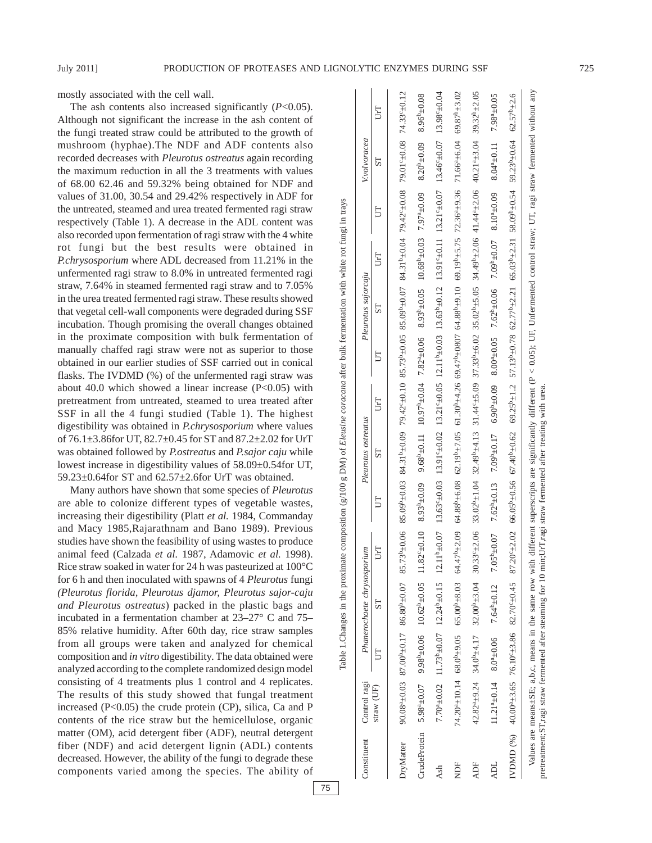mostly associated with the cell wall.

The ash contents also increased significantly (*P*<0.05). Although not significant the increase in the ash content of the fungi treated straw could be attributed to the growth of mushroom (hyphae).The NDF and ADF contents also recorded decreases with *Pleurotus ostreatus* again recording the maximum reduction in all the 3 treatments with values of 68.00 62.46 and 59.32% being obtained for NDF and values of 31.00, 30.54 and 29.42% respectively in ADF for the untreated, steamed and urea treated fermented ragi straw respectively (Table 1). A decrease in the ADL content was also recorded upon fermentation of ragi straw with the 4 white rot fungi but the best results were obtained in *P.chrysosporium* where ADL decreased from 11.21% in the unfermented ragi straw to 8.0% in untreated fermented ragi straw, 7.64% in steamed fermented ragi straw and to 7.05% in the urea treated fermented ragi straw. These results showed that vegetal cell-wall components were degraded during SSF incubation. Though promising the overall changes obtained in the proximate composition with bulk fermentation of manually chaffed ragi straw were not as superior to those obtained in our earlier studies of SSF carried out in conical flasks. The IVDMD (%) of the unfermented ragi straw was about 40.0 which showed a linear increase  $(P<0.05)$  with pretreatment from untreated, steamed to urea treated after SSF in all the 4 fungi studied (Table 1). The highest digestibility was obtained in *P.chrysosporium* where values of 76.1±3.86for UT, 82.7±0.45 for ST and 87.2±2.02 for UrT was obtained followed by *P.ostreatus* and *P.sajor caju* while lowest increase in digestibility values of 58.09±0.54for UT, 59.23±0.64for ST and 62.57±2.6for UrT was obtained.

Many authors have shown that some species of *Pleurotus* are able to colonize different types of vegetable wastes, increasing their digestibility (Platt *et al.* 1984, Commanday and Macy 1985,Rajarathnam and Bano 1989). Previous studies have shown the feasibility of using wastes to produce animal feed (Calzada *et al.* 1987, Adamovic *et al.* 1998). Rice straw soaked in water for 24 h was pasteurized at 100°C for 6 h and then inoculated with spawns of 4 *Pleurotus* fungi *(Pleurotus florida, Pleurotus djamor, Pleurotus sajor-caju and Pleurotus ostreatus*) packed in the plastic bags and incubated in a fermentation chamber at 23–27° C and 75– 85% relative humidity. After 60th day, rice straw samples from all groups were taken and analyzed for chemical composition and *in vitro* digestibility. The data obtained were analyzed according to the complete randomized design model consisting of 4 treatments plus 1 control and 4 replicates. The results of this study showed that fungal treatment increased (P<0.05) the crude protein (CP), silica, Ca and P contents of the rice straw but the hemicellulose, organic matter (OM), acid detergent fiber (ADF), neutral detergent fiber (NDF) and acid detergent lignin (ADL) contents decreased. However, the ability of the fungi to degrade these components varied among the species. The ability of

| Constituent  | Control ragi |                                                                                                                                                                                                                               | Phanerochaete chrysosporium            |     |                   | Pleurotus ostreatus |     |                                                                                                                                                                               | Pleurotus sajorcaju |     |                                                                                            | V.volvoracea                                                                                                                                                                                                                   |                         |
|--------------|--------------|-------------------------------------------------------------------------------------------------------------------------------------------------------------------------------------------------------------------------------|----------------------------------------|-----|-------------------|---------------------|-----|-------------------------------------------------------------------------------------------------------------------------------------------------------------------------------|---------------------|-----|--------------------------------------------------------------------------------------------|--------------------------------------------------------------------------------------------------------------------------------------------------------------------------------------------------------------------------------|-------------------------|
|              | straw (UF)   | Ë                                                                                                                                                                                                                             | 57                                     | UrT |                   | 57                  | UrT |                                                                                                                                                                               | 57                  | UrT |                                                                                            | 57                                                                                                                                                                                                                             | IJT                     |
| DryMatter    |              | 90.08°+0.03 87.00°+0.17 86.80°+0.07 85.73°+0.06                                                                                                                                                                               |                                        |     |                   |                     |     |                                                                                                                                                                               |                     |     |                                                                                            | 21.0+19.00 (0.0+19.0.07 82.72+2.40.10 82.73+20.05 83.00+40.04 0.04 0.00+40.08 0.04 0.04 0.04 0.00 0.04 0.00 0.04 0.00 0.04 0.00 0.04 0.00 0.04 0.00 0.04 0.00 0.04 0.00 0.04 0.00 0.04 0.00 0.04 0.00 0.04 0.00 0.04 0.00 0.04 |                         |
| CrudeProtein |              | $5.98^{\circ} \pm 0.07$ 9.98 <sup>b</sup> $\pm 0.06$ 10.62 <sup>b</sup> $\pm 0.05$ 11.82 <sup>c</sup> $\pm 0.10$                                                                                                              |                                        |     | $8.93^{b} + 0.09$ |                     |     | $9.68^{\text{b}} \pm 0.11$ 10.97 <sup>b</sup> $\pm 0.04$ 7.82 <sup>a</sup> $\pm 0.06$ 8.93 <sup>b</sup> $\pm 0.05$ 10.68 <sup>b</sup> $\pm 0.03$ 7.97 <sup>a</sup> $\pm 0.09$ |                     |     |                                                                                            | $8.20^{b} + 0.09$                                                                                                                                                                                                              | $8.96^{6}+0.08$         |
| Ash          |              | $77.70^{+0.01}_{-0.02}$ 12.24°50.11 12.24°51.5 12.02°41.51 13.29°51.940.03 13.29°40.05 13.03°41.03 13.63°50.11 13.29°40.07 13.94°50.04 13.99°40.04                                                                            |                                        |     |                   |                     |     |                                                                                                                                                                               |                     |     |                                                                                            |                                                                                                                                                                                                                                |                         |
| <b>NDF</b>   |              | 20136410.03 65.000+9.03 6447042.07 64488.64 7086046126 60.120040426 69.124020 69.1200 69.190 69.190 69.190 69.26249.03 69.47.97 69.04 69.26249.03 69.004 69.07 69.08 71.694 60.04 69.08 71.694 60.04 69.08 71.694 60.04 69.08 |                                        |     |                   |                     |     |                                                                                                                                                                               |                     |     |                                                                                            |                                                                                                                                                                                                                                |                         |
| <b>ADF</b>   |              | $42.82^{a} \pm 9.24$ 34.0 <sup>b</sup> $\pm 4.17$                                                                                                                                                                             | $32.00^{b} \pm 3.04$ 30.33° $\pm$ 2.06 |     |                   |                     |     |                                                                                                                                                                               |                     |     | 40.21+10.04 32.42+2.04 32.44+2.03 37.33+20.26 30.02+2.05 39.440+2.06 40.14+2.06 40.14+3.04 |                                                                                                                                                                                                                                | $39.32^{b}+2.05$        |
| <b>ADL</b>   |              | $11.21^{a} \pm 0.14$ 8.0 <sup>2</sup> $\pm$ 0.06 7.64 <sup>b</sup> $\pm$ 0.12 7.05 <sup>b</sup> $\pm$ 0.07                                                                                                                    |                                        |     |                   |                     |     | $7.62_{10}^{+0.012}$ $7.03_{10}^{+0.017}$ $7.03_{10}^{+0.017}$ $8.10_{10}^{+0.017}$ $8.10_{10}^{+0.017}$ $7.03_{10}^{+0.017}$ $7.03_{10}^{+0.017}$                            |                     |     |                                                                                            | $8.044 \pm 0.11$                                                                                                                                                                                                               | 7.98 <sup>a</sup> ±0.05 |
|              |              | IVDMD $(% _{6})$ 40.00 <sup>a</sup> <sup>1</sup> 3.65 76.10 <sup>c</sup> <sup>1</sup> 3.86 82.70 <sup>c</sup> <sup>1</sup> 0.45 87.20 <sup>c</sup> <sup>1</sup> 2.02                                                          |                                        |     |                   |                     |     |                                                                                                                                                                               |                     |     |                                                                                            | $66.05^{b} + 0.56$ 67.40 <sup>b</sup> +0.62 69.25 <sup>b</sup> +1.2 57.13 <sup>b</sup> +0.78 62.77 <sup>b</sup> +2.21 65.03 <sup>b</sup> +2.31 58.09b+0.54 59.23 <sup>p</sup> +0.64 62.57 <sup>b</sup> +2.6                    |                         |
|              |              | pretreatment:ST,ragi straw fermented after steaming for 10 min;UrT,ragi straw fermented after treating with urea<br>Values are means $\pm$ SE; a,b,c, means in the same row with                                              |                                        |     |                   |                     |     |                                                                                                                                                                               |                     |     |                                                                                            | different superscripts are significantly different ( $P < 0.05$ ); UF, Unfermented control straw; UT, ragi straw fermented without any                                                                                         |                         |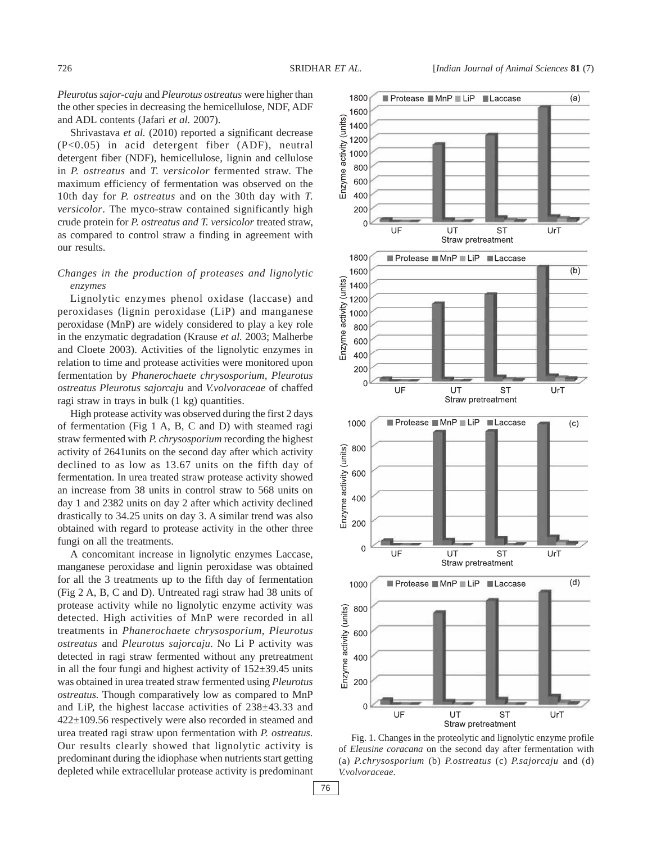*Pleurotus sajor-caju* and *Pleurotus ostreatus* were higher than the other species in decreasing the hemicellulose, NDF, ADF and ADL contents (Jafari *et al.* 2007).

Shrivastava et al. (2010) reported a significant decrease (P<0.05) in acid detergent fiber (ADF), neutral detergent fiber (NDF), hemicellulose, lignin and cellulose in *P. ostreatus* and *T. versicolor* fermented straw. The maximum efficiency of fermentation was observed on the 10th day for *P. ostreatus* and on the 30th day with *T. versicolor*. The myco-straw contained significantly high crude protein for *P. ostreatus and T. versicolor* treated straw, as compared to control straw a finding in agreement with our results.

## *Changes in the production of proteases and lignolytic enzymes*

Lignolytic enzymes phenol oxidase (laccase) and peroxidases (lignin peroxidase (LiP) and manganese peroxidase (MnP) are widely considered to play a key role in the enzymatic degradation (Krause *et al.* 2003; Malherbe and Cloete 2003). Activities of the lignolytic enzymes in relation to time and protease activities were monitored upon fermentation by *Phanerochaete chrysosporium, Pleurotus ostreatus Pleurotus sajorcaju* and *V.volvoraceae* of chaffed ragi straw in trays in bulk (1 kg) quantities.

High protease activity was observed during the first 2 days of fermentation (Fig 1 A, B, C and D) with steamed ragi straw fermented with *P. chrysosporium* recording the highest activity of 2641units on the second day after which activity declined to as low as 13.67 units on the fifth day of fermentation. In urea treated straw protease activity showed an increase from 38 units in control straw to 568 units on day 1 and 2382 units on day 2 after which activity declined drastically to 34.25 units on day 3. A similar trend was also obtained with regard to protease activity in the other three fungi on all the treatments.

A concomitant increase in lignolytic enzymes Laccase, manganese peroxidase and lignin peroxidase was obtained for all the 3 treatments up to the fifth day of fermentation (Fig 2 A, B, C and D). Untreated ragi straw had 38 units of protease activity while no lignolytic enzyme activity was detected. High activities of MnP were recorded in all treatments in *Phanerochaete chrysosporium, Pleurotus ostreatus* and *Pleurotus sajorcaju*. No Li P activity was detected in ragi straw fermented without any pretreatment in all the four fungi and highest activity of  $152\pm39.45$  units was obtained in urea treated straw fermented using *Pleurotus ostreatus.* Though comparatively low as compared to MnP and LiP, the highest laccase activities of 238±43.33 and 422±109.56 respectively were also recorded in steamed and urea treated ragi straw upon fermentation with *P. ostreatus.* Our results clearly showed that lignolytic activity is predominant during the idiophase when nutrients start getting depleted while extracellular protease activity is predominant



Fig. 1. Changes in the proteolytic and lignolytic enzyme profile of *Eleusine coracana* on the second day after fermentation with (a) *P.chrysosporium* (b) *P.ostreatus* (c) *P.sajorcaju* and (d) *V.volvoraceae.*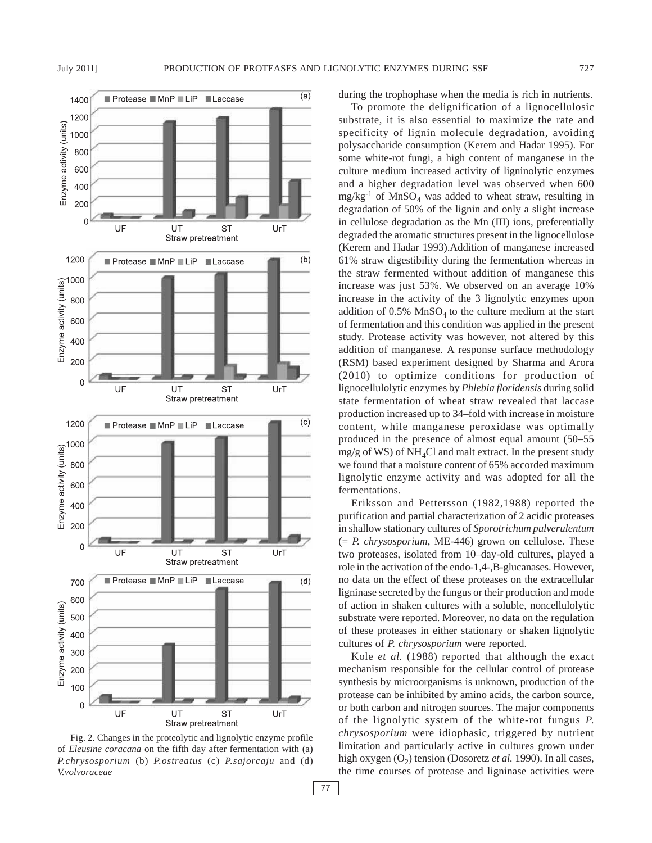

Fig. 2. Changes in the proteolytic and lignolytic enzyme profile of *Eleusine coracana* on the fifth day after fermentation with (a) *P.chrysosporium* (b) *P.ostreatus* (c) *P.sajorcaju* and (d) *V.volvoraceae*

during the trophophase when the media is rich in nutrients.

To promote the delignification of a lignocellulosic substrate, it is also essential to maximize the rate and specificity of lignin molecule degradation, avoiding polysaccharide consumption (Kerem and Hadar 1995). For some white-rot fungi, a high content of manganese in the culture medium increased activity of ligninolytic enzymes and a higher degradation level was observed when 600  $mg/kg^{-1}$  of MnSO<sub>4</sub> was added to wheat straw, resulting in degradation of 50% of the lignin and only a slight increase in cellulose degradation as the Mn (III) ions, preferentially degraded the aromatic structures present in the lignocellulose (Kerem and Hadar 1993).Addition of manganese increased 61% straw digestibility during the fermentation whereas in the straw fermented without addition of manganese this increase was just 53%. We observed on an average 10% increase in the activity of the 3 lignolytic enzymes upon addition of  $0.5\%$  MnSO<sub>4</sub> to the culture medium at the start of fermentation and this condition was applied in the present study. Protease activity was however, not altered by this addition of manganese. A response surface methodology (RSM) based experiment designed by Sharma and Arora (2010) to optimize conditions for production of lignocellulolytic enzymes by *Phlebia floridensis* during solid state fermentation of wheat straw revealed that laccase production increased up to 34–fold with increase in moisture content, while manganese peroxidase was optimally produced in the presence of almost equal amount (50–55  $mg/g$  of WS) of NH<sub>4</sub>Cl and malt extract. In the present study we found that a moisture content of 65% accorded maximum lignolytic enzyme activity and was adopted for all the fermentations.

Eriksson and Pettersson (1982,1988) reported the purification and partial characterization of 2 acidic proteases in shallow stationary cultures of *Sporotrichum pulverulentum* (= *P. chrysosporium*, ME-446) grown on cellulose. These two proteases, isolated from 10–day-old cultures, played a role in the activation of the endo-1,4-,B-glucanases. However, no data on the effect of these proteases on the extracellular ligninase secreted by the fungus or their production and mode of action in shaken cultures with a soluble, noncellulolytic substrate were reported. Moreover, no data on the regulation of these proteases in either stationary or shaken lignolytic cultures of *P. chrysosporium* were reported.

Kole *et al.* (1988) reported that although the exact mechanism responsible for the cellular control of protease synthesis by microorganisms is unknown, production of the protease can be inhibited by amino acids, the carbon source, or both carbon and nitrogen sources. The major components of the lignolytic system of the white-rot fungus *P. chrysosporium* were idiophasic, triggered by nutrient limitation and particularly active in cultures grown under high oxygen (O<sub>2</sub>) tension (Dosoretz *et al.* 1990). In all cases, the time courses of protease and ligninase activities were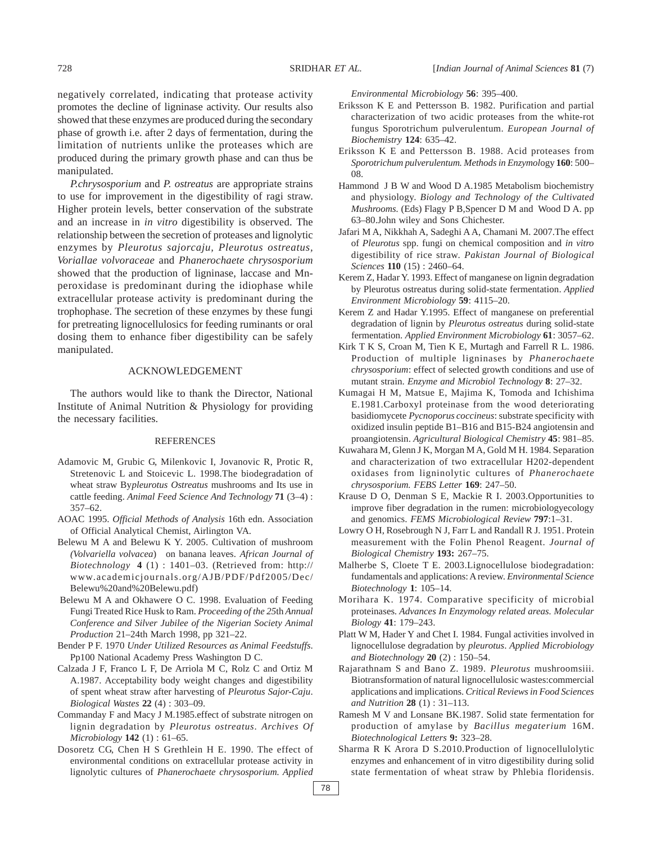negatively correlated, indicating that protease activity promotes the decline of ligninase activity. Our results also showed that these enzymes are produced during the secondary phase of growth i.e. after 2 days of fermentation, during the limitation of nutrients unlike the proteases which are produced during the primary growth phase and can thus be manipulated.

*P.chrysosporium* and *P. ostreatus* are appropriate strains to use for improvement in the digestibility of ragi straw. Higher protein levels, better conservation of the substrate and an increase in *in vitro* digestibility is observed. The relationship between the secretion of proteases and lignolytic enzymes by *Pleurotus sajorcaju, Pleurotus ostreatus, Voriallae volvoraceae* and *Phanerochaete chrysosporium* showed that the production of ligninase, laccase and Mnperoxidase is predominant during the idiophase while extracellular protease activity is predominant during the trophophase. The secretion of these enzymes by these fungi for pretreating lignocellulosics for feeding ruminants or oral dosing them to enhance fiber digestibility can be safely manipulated.

#### ACKNOWLEDGEMENT

The authors would like to thank the Director, National Institute of Animal Nutrition & Physiology for providing the necessary facilities.

#### REFERENCES

- Adamovic M, Grubic G, Milenkovic I, Jovanovic R, Protic R, Stretenovic L and Stoicevic L. 1998.The biodegradation of wheat straw By*pleurotus Ostreatus* mushrooms and Its use in cattle feeding. *Animal Feed Science And Technology* **71** (3–4) : 357–62.
- AOAC 1995. *Official Methods of Analysis* 16th edn. Association of Official Analytical Chemist, Airlington VA.
- Belewu M A and Belewu K Y. 2005. Cultivation of mushroom *(Volvariella volvacea*) on banana leaves. *African Journal of Biotechnology* **4** (1) : 1401–03. (Retrieved from: http:// www.academicjournals.org/AJB/PDF/Pdf2005/Dec/ Belewu%20and%20Belewu.pdf)
- Belewu M A and Okhawere O C. 1998. Evaluation of Feeding Fungi Treated Rice Husk to Ram. *Proceeding of the 25*th *Annual Conference and Silver Jubilee of the Nigerian Society Animal Production* 21–24th March 1998, pp 321–22.
- Bender P F. 1970 *Under Utilized Resources as Animal Feedstuffs*. Pp100 National Academy Press Washington D C.
- Calzada J F, Franco L F, De Arriola M C, Rolz C and Ortiz M A.1987. Acceptability body weight changes and digestibility of spent wheat straw after harvesting of *Pleurotus Sajor-Caju*. *Biological Wastes* **22** (4) : 303–09.
- Commanday F and Macy J M.1985.effect of substrate nitrogen on lignin degradation by *Pleurotus ostreatus*. *Archives Of Microbiology* **142** (1) : 61–65.
- Dosoretz CG, Chen H S Grethlein H E. 1990. The effect of environmental conditions on extracellular protease activity in lignolytic cultures of *Phanerochaete chrysosporium. Applied*

*Environmental Microbiology* **56**: 395–400.

- Eriksson K E and Pettersson B. 1982. Purification and partial characterization of two acidic proteases from the white-rot fungus Sporotrichum pulverulentum. *European Journal of Biochemistry* **124**: 635–42.
- Eriksson K E and Pettersson B. 1988. Acid proteases from *Sporotrichum pulverulentum. Methods in Enzymol*ogy **160**: 500– 08.
- Hammond J B W and Wood D A.1985 Metabolism biochemistry and physiology. *Biology and Technology of the Cultivated Mushrooms.* (Eds) Flagy P B,Spencer D M and Wood D A. pp 63–80.John wiley and Sons Chichester.
- Jafari M A, Nikkhah A, Sadeghi A A, Chamani M. 2007.The effect of *Pleurotus* spp. fungi on chemical composition and *in vitro* digestibility of rice straw. *Pakistan Journal of Biological Sciences* **110** (15) : 2460–64.
- Kerem Z, Hadar Y. 1993. Effect of manganese on lignin degradation by Pleurotus ostreatus during solid-state fermentation. *Applied Environment Microbiology* **59**: 4115–20.
- Kerem Z and Hadar Y.1995. Effect of manganese on preferential degradation of lignin by *Pleurotus ostreatus* during solid-state fermentation. *Applied Environment Microbiology* **61**: 3057–62.
- Kirk T K S, Croan M, Tien K E, Murtagh and Farrell R L. 1986. Production of multiple ligninases by *Phanerochaete chrysosporium*: effect of selected growth conditions and use of mutant strain. *Enzyme and Microbiol Technology* **8**: 27–32.
- Kumagai H M, Matsue E, Majima K, Tomoda and Ichishima E.1981.Carboxyl proteinase from the wood deteriorating basidiomycete *Pycnoporus coccineus*: substrate specificity with oxidized insulin peptide B1–B16 and B15-B24 angiotensin and proangiotensin. *Agricultural Biological Chemistry* **45**: 981–85.
- Kuwahara M, Glenn J K, Morgan M A, Gold M H. 1984. Separation and characterization of two extracellular H202-dependent oxidases from ligninolytic cultures of *Phanerochaete chrysosporium. FEBS Letter* **169**: 247–50.
- Krause D O, Denman S E, Mackie R I. 2003.Opportunities to improve fiber degradation in the rumen: microbiologyecology and genomics. *FEMS Microbiological Review* **797**:1–31.
- Lowry O H, Rosebrough N J, Farr L and Randall R J. 1951. Protein measurement with the Folin Phenol Reagent. *Journal of Biological Chemistry* **193:** 267–75.
- Malherbe S, Cloete T E. 2003.Lignocellulose biodegradation: fundamentals and applications: A review. *Environmental Science Biotechnology* **1**: 105–14.
- Morihara K. 1974. Comparative specificity of microbial proteinases*. Advances In Enzymology related areas. Molecular Biology* **41**: 179–243.
- Platt W M, Hader Y and Chet I. 1984. Fungal activities involved in lignocellulose degradation by *pleurotus*. *Applied Microbiology and Biotechnology* **20** (2) : 150–54.
- Rajarathnam S and Bano Z. 1989. *Pleurotus* mushroomsiii. Biotransformation of natural lignocellulosic wastes:commercial applications and implications. *Critical Reviewsin Food Sciences and Nutrition* **28** (1) : 31–113.
- Ramesh M V and Lonsane BK.1987. Solid state fermentation for production of amylase by *Bacillus megaterium* 16M. *Biotechnological Letters* **9:** 323–28.
- Sharma R K Arora D S.2010.Production of lignocellulolytic enzymes and enhancement of in vitro digestibility during solid state fermentation of wheat straw by Phlebia floridensis.